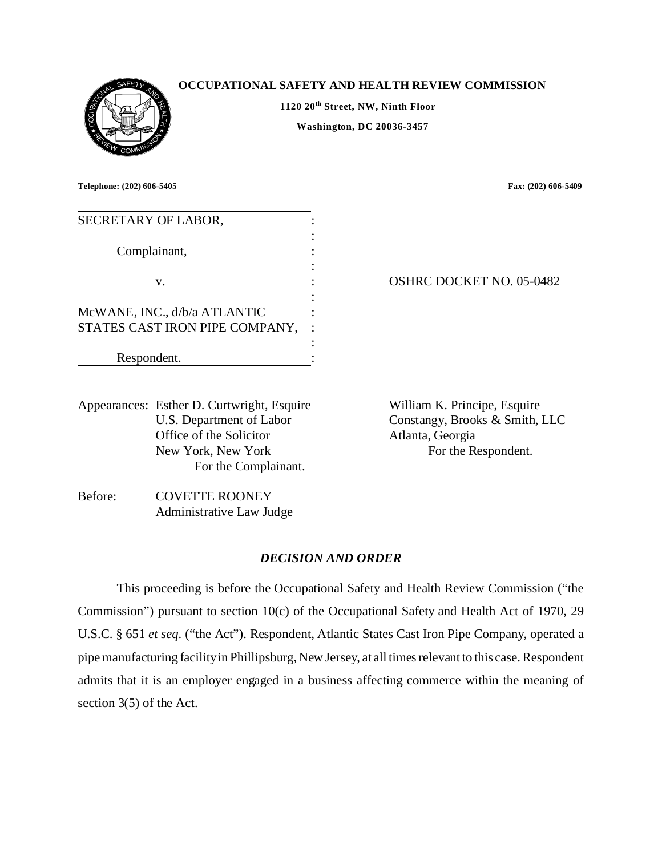

## **OCCUPATIONAL SAFETY AND HEALTH REVIEW COMMISSION**

**1120 20th Street, NW, Ninth Floor Washington, DC 20036-3457** 

**Telephone: (202) 606-5405 Fax: (202) 606-5409** 

| SECRETARY OF LABOR,                                            |                                 |
|----------------------------------------------------------------|---------------------------------|
| Complainant,                                                   |                                 |
| v.                                                             | <b>OSHRC DOCKET NO. 05-0482</b> |
| McWANE, INC., d/b/a ATLANTIC<br>STATES CAST IRON PIPE COMPANY, |                                 |
| Respondent.                                                    |                                 |

Appearances: Esther D. Curtwright, Esquire William K. Principe, Esquire U.S. Department of Labor Office of the Solicitor New York, New York For the Complainant.

Constangy, Brooks & Smith, LLC Atlanta, Georgia For the Respondent.

Before: COVETTE ROONEY Administrative Law Judge

## *DECISION AND ORDER*

This proceeding is before the Occupational Safety and Health Review Commission ("the Commission") pursuant to section 10(c) of the Occupational Safety and Health Act of 1970, 29 U.S.C. § 651 *et seq*. ("the Act"). Respondent, Atlantic States Cast Iron Pipe Company, operated a pipe manufacturing facility in Phillipsburg, New Jersey, at all times relevant to this case. Respondent admits that it is an employer engaged in a business affecting commerce within the meaning of section 3(5) of the Act.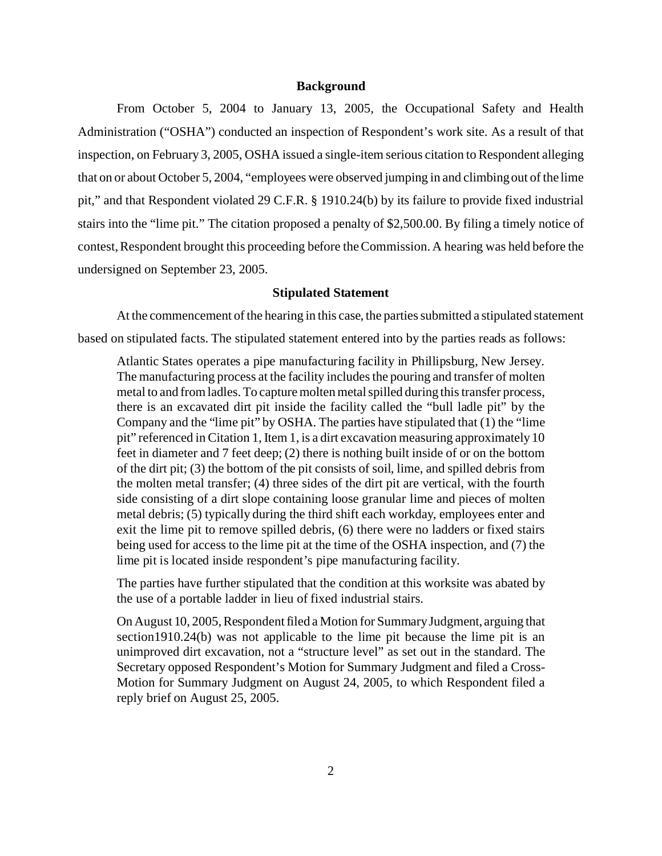### **Background**

From October 5, 2004 to January 13, 2005, the Occupational Safety and Health Administration ("OSHA") conducted an inspection of Respondent's work site. As a result of that inspection, on February 3, 2005, OSHA issued a single-item serious citation to Respondent alleging that on or about October 5, 2004, "employees were observed jumping in and climbing out of the lime pit," and that Respondent violated 29 C.F.R. § 1910.24(b) by its failure to provide fixed industrial stairs into the "lime pit." The citation proposed a penalty of \$2,500.00. By filing a timely notice of contest, Respondent brought this proceeding before the Commission. A hearing was held before the undersigned on September 23, 2005.

#### **Stipulated Statement**

At the commencement of the hearing in this case, the parties submitted a stipulated statement based on stipulated facts. The stipulated statement entered into by the parties reads as follows:

Atlantic States operates a pipe manufacturing facility in Phillipsburg, New Jersey. The manufacturing process at the facility includes the pouring and transfer of molten metal to and from ladles. To capture molten metal spilled during this transfer process, there is an excavated dirt pit inside the facility called the "bull ladle pit" by the Company and the "lime pit" by OSHA. The parties have stipulated that (1) the "lime pit" referenced in Citation 1, Item 1, is a dirt excavation measuring approximately 10 feet in diameter and 7 feet deep; (2) there is nothing built inside of or on the bottom of the dirt pit; (3) the bottom of the pit consists of soil, lime, and spilled debris from the molten metal transfer; (4) three sides of the dirt pit are vertical, with the fourth side consisting of a dirt slope containing loose granular lime and pieces of molten metal debris; (5) typically during the third shift each workday, employees enter and exit the lime pit to remove spilled debris, (6) there were no ladders or fixed stairs being used for access to the lime pit at the time of the OSHA inspection, and (7) the lime pit is located inside respondent's pipe manufacturing facility.

The parties have further stipulated that the condition at this worksite was abated by the use of a portable ladder in lieu of fixed industrial stairs.

On August 10, 2005, Respondent filed a Motion for Summary Judgment, arguing that section1910.24(b) was not applicable to the lime pit because the lime pit is an unimproved dirt excavation, not a "structure level" as set out in the standard. The Secretary opposed Respondent's Motion for Summary Judgment and filed a Cross-Motion for Summary Judgment on August 24, 2005, to which Respondent filed a reply brief on August 25, 2005.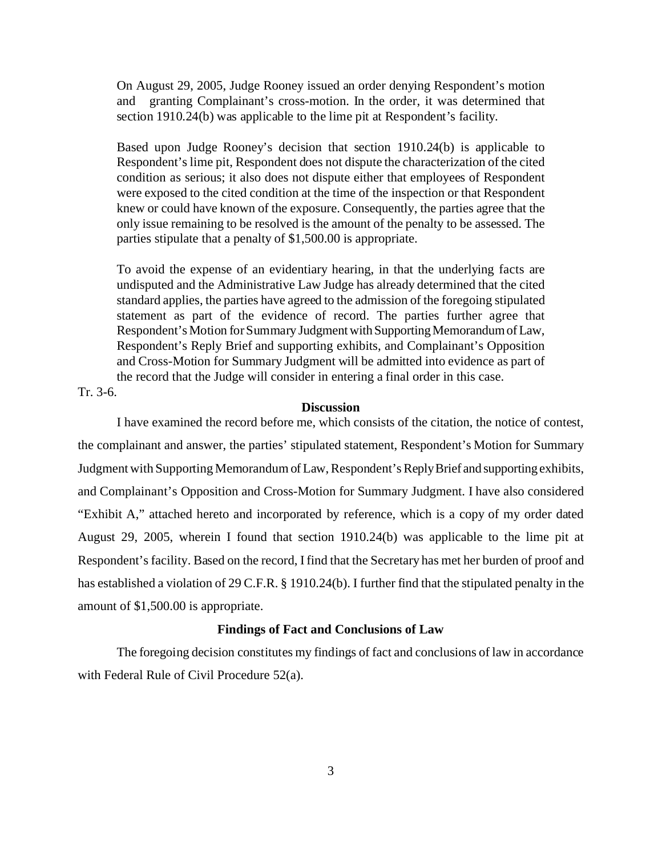On August 29, 2005, Judge Rooney issued an order denying Respondent's motion and granting Complainant's cross-motion. In the order, it was determined that section 1910.24(b) was applicable to the lime pit at Respondent's facility.

Based upon Judge Rooney's decision that section 1910.24(b) is applicable to Respondent's lime pit, Respondent does not dispute the characterization of the cited condition as serious; it also does not dispute either that employees of Respondent were exposed to the cited condition at the time of the inspection or that Respondent knew or could have known of the exposure. Consequently, the parties agree that the only issue remaining to be resolved is the amount of the penalty to be assessed. The parties stipulate that a penalty of \$1,500.00 is appropriate.

To avoid the expense of an evidentiary hearing, in that the underlying facts are undisputed and the Administrative Law Judge has already determined that the cited standard applies, the parties have agreed to the admission of the foregoing stipulated statement as part of the evidence of record. The parties further agree that Respondent's Motion for Summary Judgment with Supporting Memorandum of Law, Respondent's Reply Brief and supporting exhibits, and Complainant's Opposition and Cross-Motion for Summary Judgment will be admitted into evidence as part of the record that the Judge will consider in entering a final order in this case.

## Tr. 3-6.

#### **Discussion**

I have examined the record before me, which consists of the citation, the notice of contest, the complainant and answer, the parties' stipulated statement, Respondent's Motion for Summary Judgment with Supporting Memorandum of Law, Respondent's Reply Brief and supporting exhibits, and Complainant's Opposition and Cross-Motion for Summary Judgment. I have also considered "Exhibit A," attached hereto and incorporated by reference, which is a copy of my order dated August 29, 2005, wherein I found that section 1910.24(b) was applicable to the lime pit at Respondent's facility. Based on the record, I find that the Secretary has met her burden of proof and has established a violation of 29 C.F.R. § 1910.24(b). I further find that the stipulated penalty in the amount of \$1,500.00 is appropriate.

#### **Findings of Fact and Conclusions of Law**

The foregoing decision constitutes my findings of fact and conclusions of law in accordance with Federal Rule of Civil Procedure 52(a).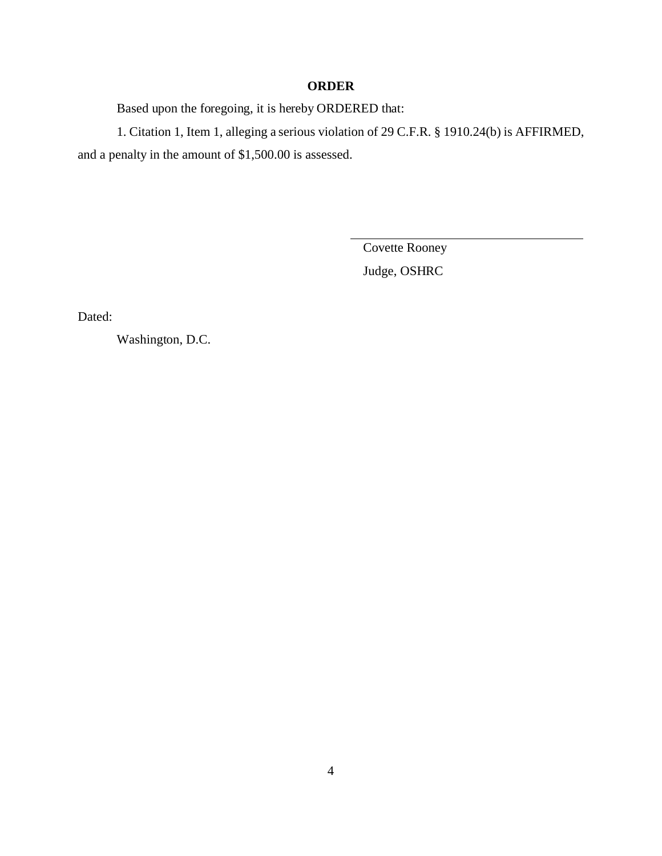## **ORDER**

Based upon the foregoing, it is hereby ORDERED that:

1. Citation 1, Item 1, alleging a serious violation of 29 C.F.R. § 1910.24(b) is AFFIRMED, and a penalty in the amount of \$1,500.00 is assessed.

> Covette Rooney Judge, OSHRC

Dated:

Washington, D.C.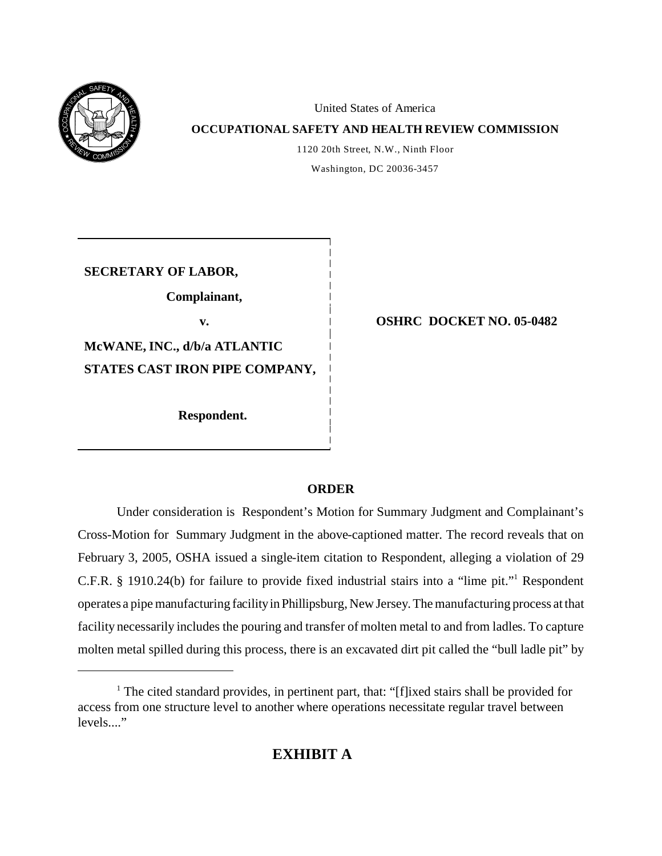

United States of America

## **OCCUPATIONAL SAFETY AND HEALTH REVIEW COMMISSION**

1120 20th Street, N.W., Ninth Floor Washington, DC 20036-3457

**SECRETARY OF LABOR,** 

**Complainant,** 

**McWANE, INC., d/b/a ATLANTIC STATES CAST IRON PIPE COMPANY,**

 **Respondent.** 

# **v. OSHRC DOCKET NO. 05-0482**

## **ORDER**

Under consideration is Respondent's Motion for Summary Judgment and Complainant's Cross-Motion for Summary Judgment in the above-captioned matter. The record reveals that on February 3, 2005, OSHA issued a single-item citation to Respondent, alleging a violation of 29 C.F.R. § 1910.24(b) for failure to provide fixed industrial stairs into a "lime pit."1 Respondent operates a pipe manufacturing facility in Phillipsburg, New Jersey. The manufacturing process at that facility necessarily includes the pouring and transfer of molten metal to and from ladles. To capture molten metal spilled during this process, there is an excavated dirt pit called the "bull ladle pit" by

<sup>&</sup>lt;sup>1</sup> The cited standard provides, in pertinent part, that: "[f]ixed stairs shall be provided for access from one structure level to another where operations necessitate regular travel between  $levels$ ..."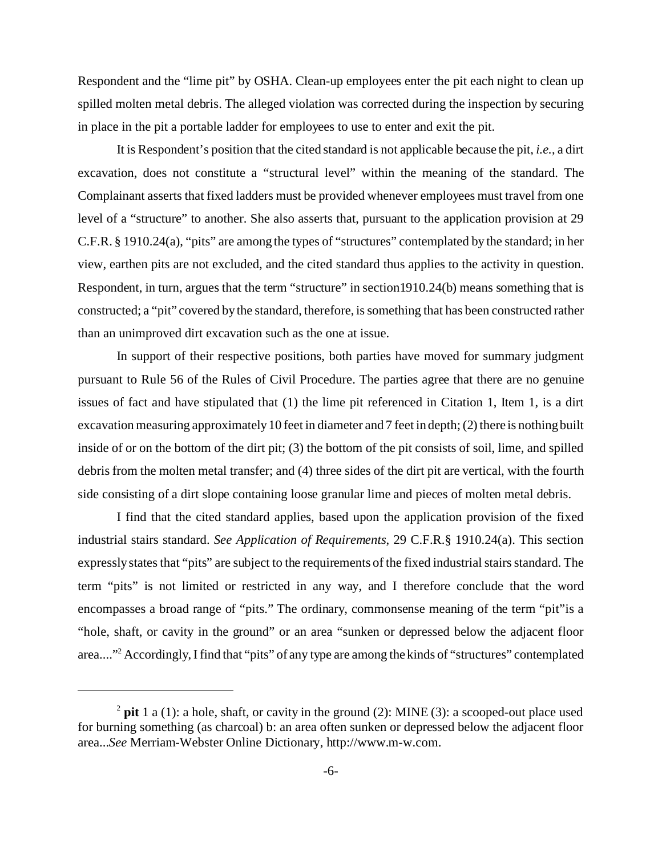Respondent and the "lime pit" by OSHA. Clean-up employees enter the pit each night to clean up spilled molten metal debris. The alleged violation was corrected during the inspection by securing in place in the pit a portable ladder for employees to use to enter and exit the pit.

It is Respondent's position that the cited standard is not applicable because the pit, *i.e.*, a dirt excavation, does not constitute a "structural level" within the meaning of the standard. The Complainant asserts that fixed ladders must be provided whenever employees must travel from one level of a "structure" to another. She also asserts that, pursuant to the application provision at 29 C.F.R. § 1910.24(a), "pits" are among the types of "structures" contemplated by the standard; in her view, earthen pits are not excluded, and the cited standard thus applies to the activity in question. Respondent, in turn, argues that the term "structure" in section1910.24(b) means something that is constructed; a "pit" covered by the standard, therefore, is something that has been constructed rather than an unimproved dirt excavation such as the one at issue.

In support of their respective positions, both parties have moved for summary judgment pursuant to Rule 56 of the Rules of Civil Procedure. The parties agree that there are no genuine issues of fact and have stipulated that (1) the lime pit referenced in Citation 1, Item 1, is a dirt excavation measuring approximately 10 feet in diameter and 7 feet in depth; (2) there is nothing built inside of or on the bottom of the dirt pit; (3) the bottom of the pit consists of soil, lime, and spilled debris from the molten metal transfer; and (4) three sides of the dirt pit are vertical, with the fourth side consisting of a dirt slope containing loose granular lime and pieces of molten metal debris.

I find that the cited standard applies, based upon the application provision of the fixed industrial stairs standard. *See Application of Requirements*, 29 C.F.R.§ 1910.24(a). This section expressly states that "pits" are subject to the requirements of the fixed industrial stairs standard. The term "pits" is not limited or restricted in any way, and I therefore conclude that the word encompasses a broad range of "pits." The ordinary, commonsense meaning of the term "pit"is a "hole, shaft, or cavity in the ground" or an area "sunken or depressed below the adjacent floor area...."<sup>2</sup> Accordingly, I find that "pits" of any type are among the kinds of "structures" contemplated

 $2$  pit 1 a (1): a hole, shaft, or cavity in the ground (2): MINE (3): a scooped-out place used for burning something (as charcoal) b: an area often sunken or depressed below the adjacent floor area...*See* Merriam-Webster Online Dictionary, http://www.m-w.com.